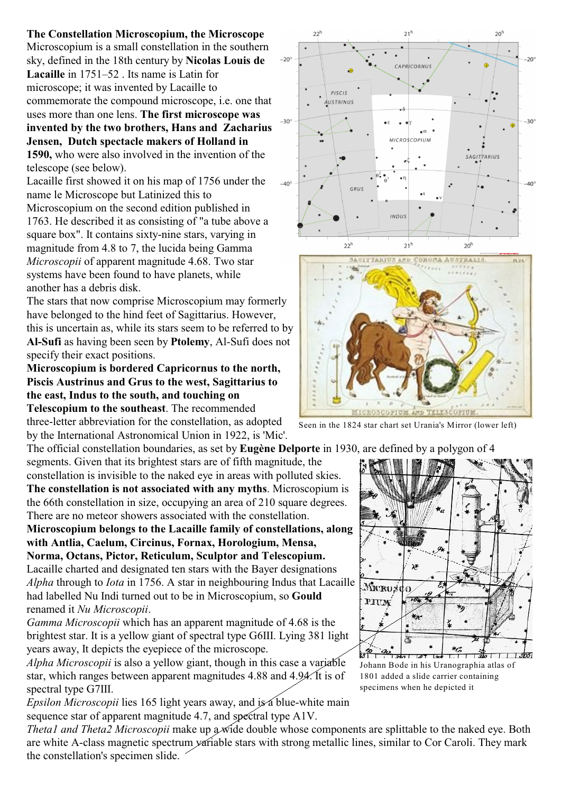**The Constellation Microscopium, the Microscope** Microscopium is a small constellation in the southern sky, defined in the 18th century by **Nicolas Louis de Lacaille** in 1751–52 . Its name is Latin for microscope; it was invented by Lacaille to commemorate the compound microscope, i.e. one that uses more than one lens. **The first microscope was invented by the two brothers, Hans and Zacharius Jensen, Dutch spectacle makers of Holland in 1590,** who were also involved in the invention of the

telescope (see below). Lacaille first showed it on his map of 1756 under the name le Microscope but Latinized this to Microscopium on the second edition published in 1763. He described it as consisting of "a tube above a square box". It contains sixty-nine stars, varying in magnitude from 4.8 to 7, the lucida being Gamma *Microscopii* of apparent magnitude 4.68. Two star systems have been found to have planets, while another has a debris disk.

The stars that now comprise Microscopium may formerly have belonged to the hind feet of Sagittarius. However, this is uncertain as, while its stars seem to be referred to by **Al-Sufi** as having been seen by **Ptolemy**, Al-Sufi does not specify their exact positions.

**Microscopium is bordered Capricornus to the north, Piscis Austrinus and Grus to the west, Sagittarius to the east, Indus to the south, and touching on Telescopium to the southeast**. The recommended

three-letter abbreviation for the constellation, as adopted by the International Astronomical Union in 1922, is 'Mic'.

The official constellation boundaries, as set by **Eugène Delporte** in 1930, are defined by a polygon of 4 segments. Given that its brightest stars are of fifth magnitude, the constellation is invisible to the naked eye in areas with polluted skies.

**The constellation is not associated with any myths**. Microscopium is the 66th constellation in size, occupying an area of 210 square degrees. There are no meteor showers associated with the constellation.

**Microscopium belongs to the Lacaille family of constellations, along with Antlia, Caelum, Circinus, Fornax, Horologium, Mensa, Norma, Octans, Pictor, Reticulum, Sculptor and Telescopium.**

Lacaille charted and designated ten stars with the Bayer designations *Alpha* through to *Iota* in 1756. A star in neighbouring Indus that Lacaille had labelled Nu Indi turned out to be in Microscopium, so **Gould** renamed it *Nu Microscopii*.

*Gamma Microscopii* which has an apparent magnitude of 4.68 is the brightest star. It is a yellow giant of spectral type G6III. Lying 381 light years away, It depicts the eyepiece of the microscope.

*Alpha Microscopii* is also a yellow giant, though in this case a variable star, which ranges between apparent magnitudes 4.88 and 4.94. It is of spectral type G7III.

*Epsilon Microscopii* lies 165 light years away, and is a blue-white main sequence star of apparent magnitude 4.7, and spectral type A1V.

*Theta1 and Theta2 Microscopii* make up  $\alpha$  wide double whose components are splittable to the naked eye. Both are white A-class magnetic spectrum variable stars with strong metallic lines, similar to Cor Caroli. They mark the constellation's specimen slide.

Seen in the 1824 star chart set Urania's Mirror (lower left)

 $\begin{array}{c|c} \hline \end{array}$ Johann Bode in his Uranographia atlas of 1801 added a slide carrier containing specimens when he depicted it

 $*_{\mathcal{C}}$